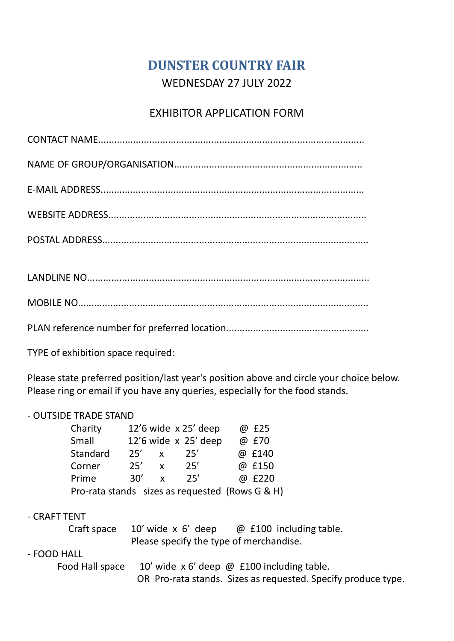# **DUNSTER COUNTRY FAIR** WEDNESDAY 27 JULY 2022

## EXHIBITOR APPLICATION FORM

TYPE of exhibition space required:

Please state preferred position/last year's position above and circle your choice below. Please ring or email if you have any queries, especially for the food stands.

#### - OUTSIDE TRADE STAND

| Charity  |     |              | $12'6$ wide $\times 25'$ deep | @ £25                                                                             |
|----------|-----|--------------|-------------------------------|-----------------------------------------------------------------------------------|
| Small    |     |              | $12'6$ wide $x$ 25' deep      | @ £70                                                                             |
| Standard | 25' | $\mathbf{x}$ | 25'                           | @ £140                                                                            |
| Corner   | 25' | $\mathbf{x}$ | 25'                           | @ £150                                                                            |
| Prime    | 30' | <b>X</b>     | 25'                           | @ £220                                                                            |
|          |     |              |                               | $D_{\text{LO}}$ rata stands sizes as requested ( $D_{\text{OME}}$ $C$ $R$ , $H$ ) |

Pro-rata stands sizes as requested (Rows G & H)

### - CRAFT TENT

Craft space  $10'$  wide x 6' deep  $\oslash$  £100 including table. Please specify the type of merchandise.

#### - FOOD HALL

Food Hall space  $10'$  wide x 6' deep  $\omega$  £100 including table. OR Pro-rata stands. Sizes as requested. Specify produce type.